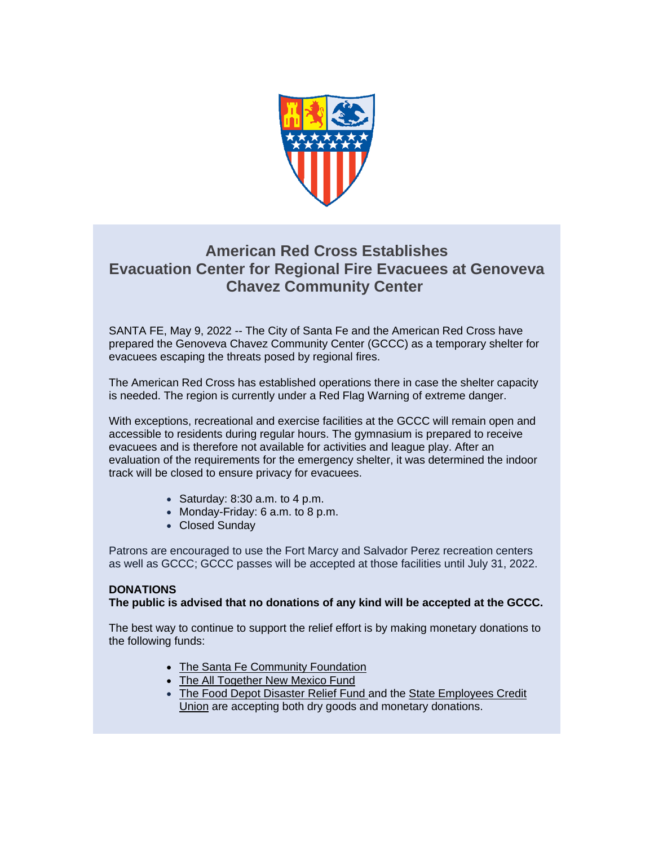

## **American Red Cross Establishes Evacuation Center for Regional Fire Evacuees at Genoveva Chavez Community Center**

SANTA FE, May 9, 2022 -- The City of Santa Fe and the American Red Cross have prepared the Genoveva Chavez Community Center (GCCC) as a temporary shelter for evacuees escaping the threats posed by regional fires.

The American Red Cross has established operations there in case the shelter capacity is needed. The region is currently under a Red Flag Warning of extreme danger.

With exceptions, recreational and exercise facilities at the GCCC will remain open and accessible to residents during regular hours. The gymnasium is prepared to receive evacuees and is therefore not available for activities and league play. After an evaluation of the requirements for the emergency shelter, it was determined the indoor track will be closed to ensure privacy for evacuees.

- Saturday:  $8:30$  a.m. to  $4$  p.m.
- Monday-Friday: 6 a.m. to 8 p.m.
- Closed Sunday

Patrons are encouraged to use the Fort Marcy and Salvador Perez recreation centers as well as GCCC; GCCC passes will be accepted at those facilities until July 31, 2022.

## **DONATIONS**

## **The public is advised that no donations of any kind will be accepted at the GCCC.**

The best way to continue to support the relief effort is by making monetary donations to the following funds:

- The [Santa Fe Community Foundation](https://r20.rs6.net/tn.jsp?f=001d7ju967orhiUZkv5ADJSkghbCZbPizbBtBhU6vLS3R5Y9Fx_--v8hb6qWePi65bmkFdui73QOFrJg_kTqlHLwJ7NVNJ9D8CJqK3faEqFUUh1Et7o3zxdICAAGLwqaBAxsyRewsKyy-qP21Mct5lu2lrmf4WM6nWmZ2ggIt3HoS66-_y_UxnThxqM_117tiWWwSM6RmM3VRiIG3WRgGcJbQ==&c=H0OgnVIWc5DdHKfiDdmDW1-4lGOvL835g4Yp6RgesbQ2lem1A_Acuw==&ch=BlrRzYlbWI3AuL8v05rX2R6wJGSGGKE6rc1Yp1YlnT5-wI1Uvt9rog==)
- The [All Together New Mexico Fund](https://r20.rs6.net/tn.jsp?f=001d7ju967orhiUZkv5ADJSkghbCZbPizbBtBhU6vLS3R5Y9Fx_--v8hebTHd-MZs3Dsvf_lsldgHqr5N3MD7-d8L0ec3EHqBrdffd4VhSw7YBchuusQQLZcIenmmsTWYY2dyJzTOnLNbVAj70rF_mIZg==&c=H0OgnVIWc5DdHKfiDdmDW1-4lGOvL835g4Yp6RgesbQ2lem1A_Acuw==&ch=BlrRzYlbWI3AuL8v05rX2R6wJGSGGKE6rc1Yp1YlnT5-wI1Uvt9rog==)
- [The Food Depot Disaster](https://r20.rs6.net/tn.jsp?f=001d7ju967orhiUZkv5ADJSkghbCZbPizbBtBhU6vLS3R5Y9Fx_--v8hcHULNdf-7avmDgWuVvC1ZDDAndhzTAGmNSIvpFJsQeWh01BTeulRaNgJ3uFejBKrDtSBBRt9EFnV4ieSrBWYIHzOWHrzfSps4xUEaQjcFzcle0kMCh7Idk=&c=H0OgnVIWc5DdHKfiDdmDW1-4lGOvL835g4Yp6RgesbQ2lem1A_Acuw==&ch=BlrRzYlbWI3AuL8v05rX2R6wJGSGGKE6rc1Yp1YlnT5-wI1Uvt9rog==) Relief Fund and the State Employees Credit [Union](https://r20.rs6.net/tn.jsp?f=001d7ju967orhiUZkv5ADJSkghbCZbPizbBtBhU6vLS3R5Y9Fx_--v8haWVyVFcjxmuIbMjf027oTzP9gYLtFq8Fk7b4tmydMMsLDlFtAR-rhipB3cDwkgis76CCMOa4ix2_3tv83QVZ9nvfMVxYhsPJq9mSwrm-TjNeoXc_9hQWaM=&c=H0OgnVIWc5DdHKfiDdmDW1-4lGOvL835g4Yp6RgesbQ2lem1A_Acuw==&ch=BlrRzYlbWI3AuL8v05rX2R6wJGSGGKE6rc1Yp1YlnT5-wI1Uvt9rog==) are accepting both dry goods and monetary donations.